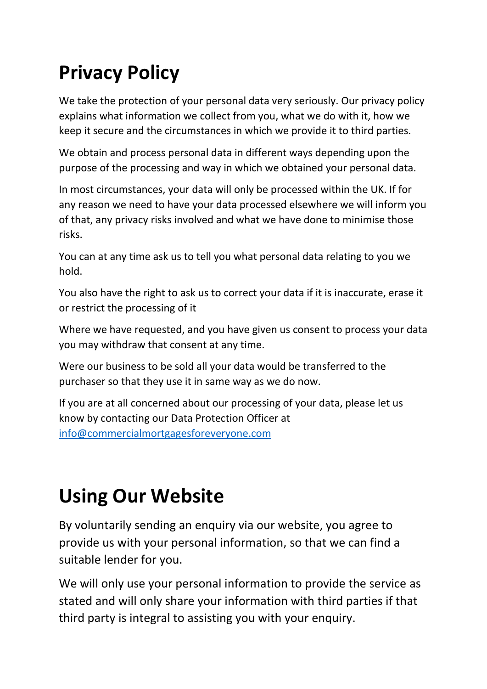# **Privacy Policy**

We take the protection of your personal data very seriously. Our privacy policy explains what information we collect from you, what we do with it, how we keep it secure and the circumstances in which we provide it to third parties.

We obtain and process personal data in different ways depending upon the purpose of the processing and way in which we obtained your personal data.

In most circumstances, your data will only be processed within the UK. If for any reason we need to have your data processed elsewhere we will inform you of that, any privacy risks involved and what we have done to minimise those risks.

You can at any time ask us to tell you what personal data relating to you we hold.

You also have the right to ask us to correct your data if it is inaccurate, erase it or restrict the processing of it

Where we have requested, and you have given us consent to process your data you may withdraw that consent at any time.

Were our business to be sold all your data would be transferred to the purchaser so that they use it in same way as we do now.

If you are at all concerned about our processing of your data, please let us know by contacting our Data Protection Officer at [info@commercialmortgagesforeveryone.com](mailto:info@commercialmortgagesforeveryone.com)

## **Using Our Website**

By voluntarily sending an enquiry via our website, you agree to provide us with your personal information, so that we can find a suitable lender for you.

We will only use your personal information to provide the service as stated and will only share your information with third parties if that third party is integral to assisting you with your enquiry.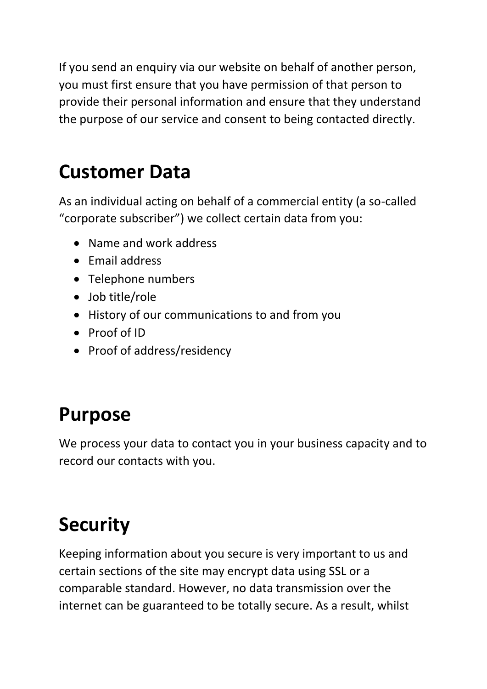If you send an enquiry via our website on behalf of another person, you must first ensure that you have permission of that person to provide their personal information and ensure that they understand the purpose of our service and consent to being contacted directly.

### **Customer Data**

As an individual acting on behalf of a commercial entity (a so-called "corporate subscriber") we collect certain data from you:

- Name and work address
- Email address
- Telephone numbers
- Job title/role
- History of our communications to and from you
- Proof of ID
- Proof of address/residency

#### **Purpose**

We process your data to contact you in your business capacity and to record our contacts with you.

# **Security**

Keeping information about you secure is very important to us and certain sections of the site may encrypt data using SSL or a comparable standard. However, no data transmission over the internet can be guaranteed to be totally secure. As a result, whilst